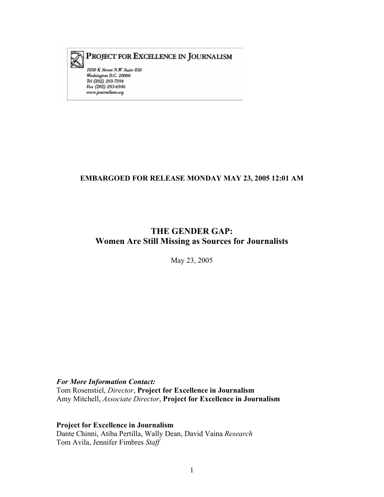

# PROJECT FOR EXCELLENCE IN JOURNALISM

1850 K Street N.W. Suite 850 Washington D.C. 20006 Tel (202) 293-7394 Fax (202) 293-6946  $www.journalism.org$ 

# **EMBARGOED FOR RELEASE MONDAY MAY 23, 2005 12:01 AM**

# **THE GENDER GAP: Women Are Still Missing as Sources for Journalists**

May 23, 2005

### *For More Information Contact:*

Tom Rosenstiel, *Director*, **Project for Excellence in Journalism**  Amy Mitchell, *Associate Director*, **Project for Excellence in Journalism** 

**Project for Excellence in Journalism**  Dante Chinni, Atiba Pertilla, Wally Dean, David Vaina *Research*  Tom Avila, Jennifer Fimbres *Staff*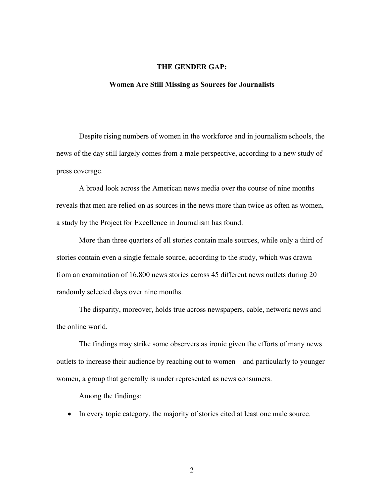## **THE GENDER GAP:**

#### **Women Are Still Missing as Sources for Journalists**

Despite rising numbers of women in the workforce and in journalism schools, the news of the day still largely comes from a male perspective, according to a new study of press coverage.

A broad look across the American news media over the course of nine months reveals that men are relied on as sources in the news more than twice as often as women, a study by the Project for Excellence in Journalism has found.

More than three quarters of all stories contain male sources, while only a third of stories contain even a single female source, according to the study, which was drawn from an examination of 16,800 news stories across 45 different news outlets during 20 randomly selected days over nine months.

The disparity, moreover, holds true across newspapers, cable, network news and the online world.

The findings may strike some observers as ironic given the efforts of many news outlets to increase their audience by reaching out to women—and particularly to younger women, a group that generally is under represented as news consumers.

Among the findings:

• In every topic category, the majority of stories cited at least one male source.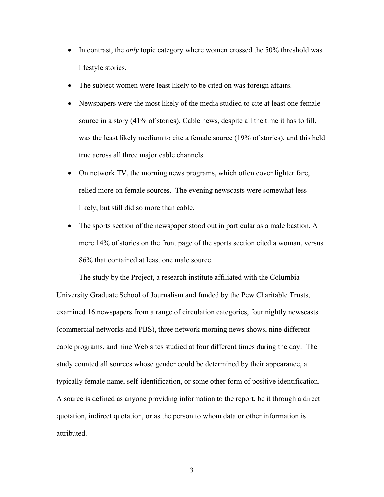- In contrast, the *only* topic category where women crossed the 50% threshold was lifestyle stories.
- The subject women were least likely to be cited on was foreign affairs.
- Newspapers were the most likely of the media studied to cite at least one female source in a story (41% of stories). Cable news, despite all the time it has to fill, was the least likely medium to cite a female source (19% of stories), and this held true across all three major cable channels.
- On network TV, the morning news programs, which often cover lighter fare, relied more on female sources. The evening newscasts were somewhat less likely, but still did so more than cable.
- The sports section of the newspaper stood out in particular as a male bastion. A mere 14% of stories on the front page of the sports section cited a woman, versus 86% that contained at least one male source.

The study by the Project, a research institute affiliated with the Columbia University Graduate School of Journalism and funded by the Pew Charitable Trusts, examined 16 newspapers from a range of circulation categories, four nightly newscasts (commercial networks and PBS), three network morning news shows, nine different cable programs, and nine Web sites studied at four different times during the day. The study counted all sources whose gender could be determined by their appearance, a typically female name, self-identification, or some other form of positive identification. A source is defined as anyone providing information to the report, be it through a direct quotation, indirect quotation, or as the person to whom data or other information is attributed.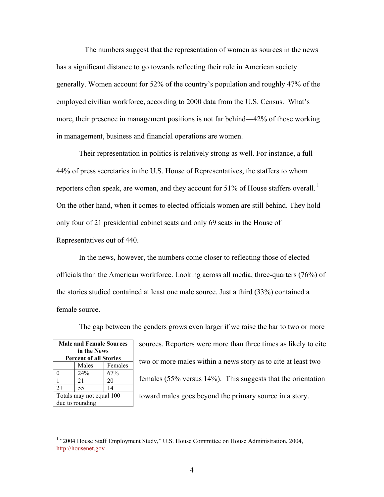The numbers suggest that the representation of women as sources in the news has a significant distance to go towards reflecting their role in American society generally. Women account for 52% of the country's population and roughly 47% of the employed civilian workforce, according to 2000 data from the U.S. Census. What's more, their presence in management positions is not far behind—42% of those working in management, business and financial operations are women.

Their representation in politics is relatively strong as well. For instance, a full 44% of press secretaries in the U.S. House of Representatives, the staffers to whom reporters often speak, are women, and they account for 51% of House staffers overall.  $\frac{1}{1}$ On the other hand, when it comes to elected officials women are still behind. They hold only four of 21 presidential cabinet seats and only 69 seats in the House of Representatives out of 440.

In the news, however, the numbers come closer to reflecting those of elected officials than the American workforce. Looking across all media, three-quarters (76%) of the stories studied contained at least one male source. Just a third (33%) contained a female source.

The gap between the genders grows even larger if we raise the bar to two or more

| <b>Male and Female Sources</b> |                               |     |  |  |  |  |
|--------------------------------|-------------------------------|-----|--|--|--|--|
|                                | in the News                   |     |  |  |  |  |
|                                | <b>Percent of all Stories</b> |     |  |  |  |  |
|                                | Females<br>Males              |     |  |  |  |  |
| 0                              | 24%                           | 67% |  |  |  |  |
| 1                              | 21                            | 20  |  |  |  |  |
| $2+$                           | 55                            | 14  |  |  |  |  |
| Totals may not equal 100       |                               |     |  |  |  |  |
| due to rounding                |                               |     |  |  |  |  |

sources. Reporters were more than three times as likely to cite two or more males within a news story as to cite at least two females (55% versus 14%). This suggests that the orientation toward males goes beyond the primary source in a story.

 1 "2004 House Staff Employment Study," U.S. House Committee on House Administration, 2004, http://housenet.gov .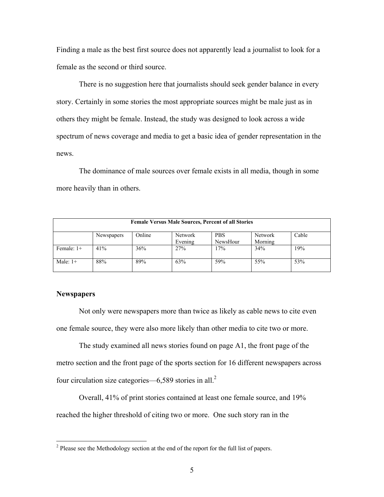Finding a male as the best first source does not apparently lead a journalist to look for a female as the second or third source.

There is no suggestion here that journalists should seek gender balance in every story. Certainly in some stories the most appropriate sources might be male just as in others they might be female. Instead, the study was designed to look across a wide spectrum of news coverage and media to get a basic idea of gender representation in the news.

The dominance of male sources over female exists in all media, though in some more heavily than in others.

| <b>Female Versus Male Sources, Percent of all Stories</b> |            |        |                           |                        |                    |       |  |
|-----------------------------------------------------------|------------|--------|---------------------------|------------------------|--------------------|-------|--|
|                                                           | Newspapers | Online | <b>Network</b><br>Evening | <b>PBS</b><br>NewsHour | Network<br>Morning | Cable |  |
| Female: $1+$                                              | 41%        | 36%    | 27%                       | 17%                    | 34%                | 19%   |  |
| Male: $1+$                                                | 88%        | 89%    | 63%                       | 59%                    | 55%                | 53%   |  |

## **Newspapers**

Not only were newspapers more than twice as likely as cable news to cite even one female source, they were also more likely than other media to cite two or more.

The study examined all news stories found on page A1, the front page of the metro section and the front page of the sports section for 16 different newspapers across four circulation size categories—6,589 stories in all.<sup>2</sup>

Overall, 41% of print stories contained at least one female source, and 19% reached the higher threshold of citing two or more. One such story ran in the

<sup>&</sup>lt;sup>2</sup> Please see the Methodology section at the end of the report for the full list of papers.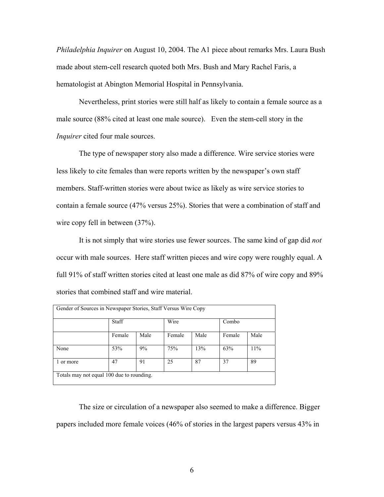*Philadelphia Inquirer* on August 10, 2004. The A1 piece about remarks Mrs. Laura Bush made about stem-cell research quoted both Mrs. Bush and Mary Rachel Faris, a hematologist at Abington Memorial Hospital in Pennsylvania.

Nevertheless, print stories were still half as likely to contain a female source as a male source (88% cited at least one male source). Even the stem-cell story in the *Inquirer* cited four male sources.

The type of newspaper story also made a difference. Wire service stories were less likely to cite females than were reports written by the newspaper's own staff members. Staff-written stories were about twice as likely as wire service stories to contain a female source (47% versus 25%). Stories that were a combination of staff and wire copy fell in between  $(37%)$ .

It is not simply that wire stories use fewer sources. The same kind of gap did *not* occur with male sources. Here staff written pieces and wire copy were roughly equal. A full 91% of staff written stories cited at least one male as did 87% of wire copy and 89% stories that combined staff and wire material.

| Gender of Sources in Newspaper Stories, Staff Versus Wire Copy |        |      |        |      |        |      |
|----------------------------------------------------------------|--------|------|--------|------|--------|------|
|                                                                | Staff  |      | Wire   |      | Combo  |      |
|                                                                | Female | Male | Female | Male | Female | Male |
| None                                                           | 53%    | 9%   | 75%    | 13%  | 63%    | 11%  |
| or more                                                        | 47     | 91   | 25     | 87   | 37     | 89   |
| Totals may not equal 100 due to rounding.                      |        |      |        |      |        |      |

The size or circulation of a newspaper also seemed to make a difference. Bigger papers included more female voices (46% of stories in the largest papers versus 43% in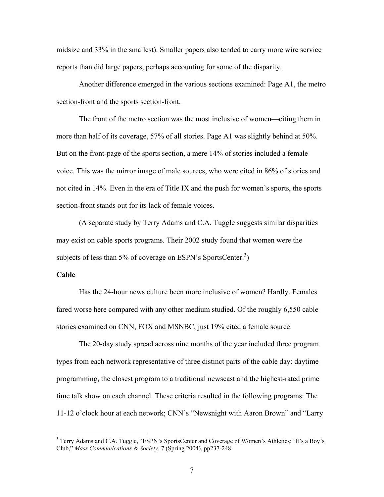midsize and 33% in the smallest). Smaller papers also tended to carry more wire service reports than did large papers, perhaps accounting for some of the disparity.

Another difference emerged in the various sections examined: Page A1, the metro section-front and the sports section-front.

The front of the metro section was the most inclusive of women—citing them in more than half of its coverage, 57% of all stories. Page A1 was slightly behind at 50%. But on the front-page of the sports section, a mere 14% of stories included a female voice. This was the mirror image of male sources, who were cited in 86% of stories and not cited in 14%. Even in the era of Title IX and the push for women's sports, the sports section-front stands out for its lack of female voices.

(A separate study by Terry Adams and C.A. Tuggle suggests similar disparities may exist on cable sports programs. Their 2002 study found that women were the subjects of less than 5% of coverage on ESPN's SportsCenter.<sup>3</sup>)

### **Cable**

 $\overline{a}$ 

Has the 24-hour news culture been more inclusive of women? Hardly. Females fared worse here compared with any other medium studied. Of the roughly 6,550 cable stories examined on CNN, FOX and MSNBC, just 19% cited a female source.

The 20-day study spread across nine months of the year included three program types from each network representative of three distinct parts of the cable day: daytime programming, the closest program to a traditional newscast and the highest-rated prime time talk show on each channel. These criteria resulted in the following programs: The 11-12 o'clock hour at each network; CNN's "Newsnight with Aaron Brown" and "Larry

<sup>&</sup>lt;sup>3</sup> Terry Adams and C.A. Tuggle, "ESPN's SportsCenter and Coverage of Women's Athletics: 'It's a Boy's Club," *Mass Communications & Society*, 7 (Spring 2004), pp237-248.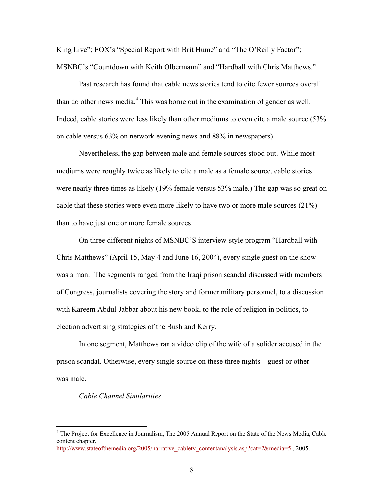King Live"; FOX's "Special Report with Brit Hume" and "The O'Reilly Factor"; MSNBC's "Countdown with Keith Olbermann" and "Hardball with Chris Matthews."

Past research has found that cable news stories tend to cite fewer sources overall than do other news media.<sup>4</sup> This was borne out in the examination of gender as well. Indeed, cable stories were less likely than other mediums to even cite a male source (53% on cable versus 63% on network evening news and 88% in newspapers).

Nevertheless, the gap between male and female sources stood out. While most mediums were roughly twice as likely to cite a male as a female source, cable stories were nearly three times as likely (19% female versus 53% male.) The gap was so great on cable that these stories were even more likely to have two or more male sources (21%) than to have just one or more female sources.

On three different nights of MSNBC'S interview-style program "Hardball with Chris Matthews" (April 15, May 4 and June 16, 2004), every single guest on the show was a man. The segments ranged from the Iraqi prison scandal discussed with members of Congress, journalists covering the story and former military personnel, to a discussion with Kareem Abdul-Jabbar about his new book, to the role of religion in politics, to election advertising strategies of the Bush and Kerry.

In one segment, Matthews ran a video clip of the wife of a solider accused in the prison scandal. Otherwise, every single source on these three nights—guest or other was male.

#### *Cable Channel Similarities*

 $\overline{a}$ 

<sup>&</sup>lt;sup>4</sup> The Project for Excellence in Journalism, The 2005 Annual Report on the State of the News Media, Cable content chapter,

http://www.stateofthemedia.org/2005/narrative\_cabletv\_contentanalysis.asp?cat=2&media=5, 2005.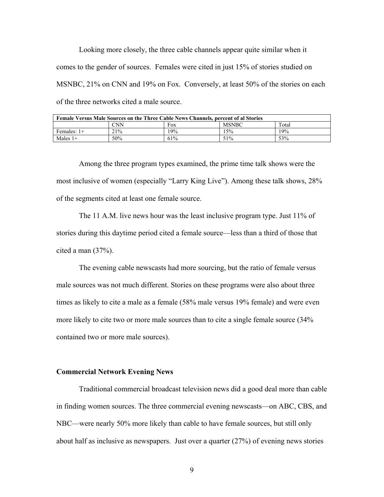Looking more closely, the three cable channels appear quite similar when it comes to the gender of sources. Females were cited in just 15% of stories studied on MSNBC, 21% on CNN and 19% on Fox. Conversely, at least 50% of the stories on each of the three networks cited a male source.

| <b>Female Versus Male Sources on the Three Cable News Channels, percent of al Stories</b> |     |     |              |       |  |
|-------------------------------------------------------------------------------------------|-----|-----|--------------|-------|--|
|                                                                                           | CNN | Fox | <b>MSNBC</b> | Total |  |
| Females: $1+$                                                                             | 21% | 19% | 15%          | 19%   |  |
| Males $1+$                                                                                | 50% | 61% | 51%          | 53%   |  |

Among the three program types examined, the prime time talk shows were the most inclusive of women (especially "Larry King Live"). Among these talk shows, 28% of the segments cited at least one female source.

The 11 A.M. live news hour was the least inclusive program type. Just 11% of stories during this daytime period cited a female source—less than a third of those that cited a man (37%).

The evening cable newscasts had more sourcing, but the ratio of female versus male sources was not much different. Stories on these programs were also about three times as likely to cite a male as a female (58% male versus 19% female) and were even more likely to cite two or more male sources than to cite a single female source (34% contained two or more male sources).

### **Commercial Network Evening News**

 Traditional commercial broadcast television news did a good deal more than cable in finding women sources. The three commercial evening newscasts—on ABC, CBS, and NBC—were nearly 50% more likely than cable to have female sources, but still only about half as inclusive as newspapers. Just over a quarter (27%) of evening news stories

9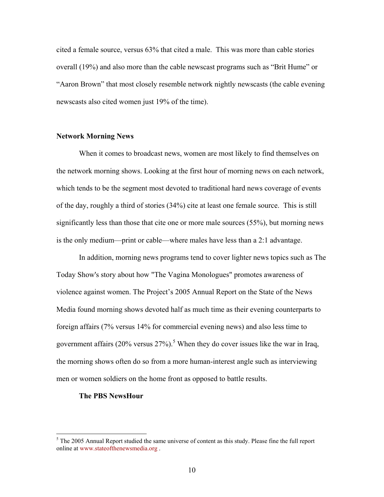cited a female source, versus 63% that cited a male. This was more than cable stories overall (19%) and also more than the cable newscast programs such as "Brit Hume" or "Aaron Brown" that most closely resemble network nightly newscasts (the cable evening newscasts also cited women just 19% of the time).

### **Network Morning News**

 When it comes to broadcast news, women are most likely to find themselves on the network morning shows. Looking at the first hour of morning news on each network, which tends to be the segment most devoted to traditional hard news coverage of events of the day, roughly a third of stories (34%) cite at least one female source. This is still significantly less than those that cite one or more male sources (55%), but morning news is the only medium—print or cable—where males have less than a 2:1 advantage.

 In addition, morning news programs tend to cover lighter news topics such as The Today Show's story about how "The Vagina Monologues" promotes awareness of violence against women. The Project's 2005 Annual Report on the State of the News Media found morning shows devoted half as much time as their evening counterparts to foreign affairs (7% versus 14% for commercial evening news) and also less time to government affairs  $(20\% \text{ versus } 27\%)$ .<sup>5</sup> When they do cover issues like the war in Iraq, the morning shows often do so from a more human-interest angle such as interviewing men or women soldiers on the home front as opposed to battle results.

#### **The PBS NewsHour**

<sup>&</sup>lt;sup>5</sup> The 2005 Annual Report studied the same universe of content as this study. Please fine the full report online at www.stateofthenewsmedia.org .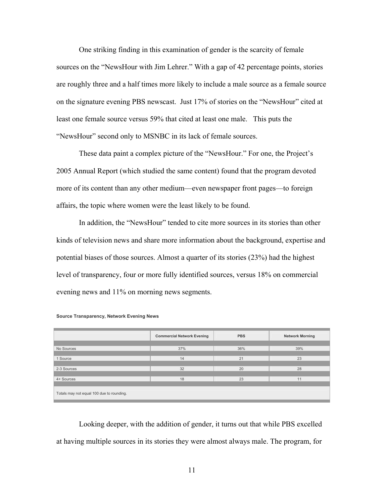One striking finding in this examination of gender is the scarcity of female sources on the "NewsHour with Jim Lehrer." With a gap of 42 percentage points, stories are roughly three and a half times more likely to include a male source as a female source on the signature evening PBS newscast. Just 17% of stories on the "NewsHour" cited at least one female source versus 59% that cited at least one male. This puts the "NewsHour" second only to MSNBC in its lack of female sources.

These data paint a complex picture of the "NewsHour." For one, the Project's 2005 Annual Report (which studied the same content) found that the program devoted more of its content than any other medium—even newspaper front pages—to foreign affairs, the topic where women were the least likely to be found.

In addition, the "NewsHour" tended to cite more sources in its stories than other kinds of television news and share more information about the background, expertise and potential biases of those sources. Almost a quarter of its stories (23%) had the highest level of transparency, four or more fully identified sources, versus 18% on commercial evening news and 11% on morning news segments.

|                                           | <b>Commercial Network Evening</b> | <b>PBS</b> | <b>Network Morning</b> |  |  |  |
|-------------------------------------------|-----------------------------------|------------|------------------------|--|--|--|
|                                           |                                   |            |                        |  |  |  |
| No Sources                                | 37%                               | 36%        | 39%                    |  |  |  |
|                                           |                                   |            |                        |  |  |  |
| 1 Source                                  | 14                                | 21         | 23                     |  |  |  |
|                                           |                                   |            |                        |  |  |  |
| 2-3 Sources                               | 32                                | 20         | 28                     |  |  |  |
|                                           |                                   |            |                        |  |  |  |
| 4+ Sources                                | 18                                | 23         | 11                     |  |  |  |
|                                           |                                   |            |                        |  |  |  |
| Totals may not equal 100 due to rounding. |                                   |            |                        |  |  |  |

**Source Transparency, Network Evening News** 

Looking deeper, with the addition of gender, it turns out that while PBS excelled at having multiple sources in its stories they were almost always male. The program, for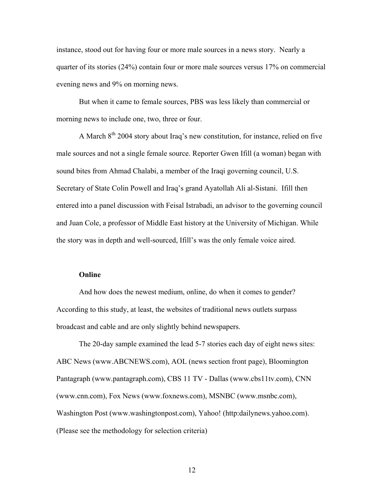instance, stood out for having four or more male sources in a news story. Nearly a quarter of its stories (24%) contain four or more male sources versus 17% on commercial evening news and 9% on morning news.

But when it came to female sources, PBS was less likely than commercial or morning news to include one, two, three or four.

A March 8th 2004 story about Iraq's new constitution, for instance, relied on five male sources and not a single female source. Reporter Gwen Ifill (a woman) began with sound bites from Ahmad Chalabi, a member of the Iraqi governing council, U.S. Secretary of State Colin Powell and Iraq's grand Ayatollah Ali al-Sistani. Ifill then entered into a panel discussion with Feisal Istrabadi, an advisor to the governing council and Juan Cole, a professor of Middle East history at the University of Michigan. While the story was in depth and well-sourced, Ifill's was the only female voice aired.

### **Online**

 And how does the newest medium, online, do when it comes to gender? According to this study, at least, the websites of traditional news outlets surpass broadcast and cable and are only slightly behind newspapers.

 The 20-day sample examined the lead 5-7 stories each day of eight news sites: ABC News (www.ABCNEWS.com), AOL (news section front page), Bloomington Pantagraph (www.pantagraph.com), CBS 11 TV - Dallas (www.cbs11tv.com), CNN (www.cnn.com), Fox News (www.foxnews.com), MSNBC (www.msnbc.com), Washington Post (www.washingtonpost.com), Yahoo! (http:dailynews.yahoo.com). (Please see the methodology for selection criteria)

12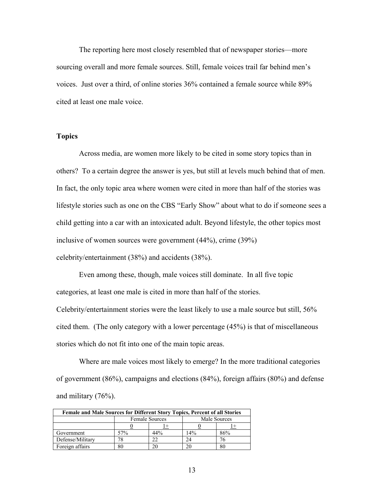The reporting here most closely resembled that of newspaper stories—more sourcing overall and more female sources. Still, female voices trail far behind men's voices. Just over a third, of online stories 36% contained a female source while 89% cited at least one male voice.

### **Topics**

Across media, are women more likely to be cited in some story topics than in others? To a certain degree the answer is yes, but still at levels much behind that of men. In fact, the only topic area where women were cited in more than half of the stories was lifestyle stories such as one on the CBS "Early Show" about what to do if someone sees a child getting into a car with an intoxicated adult. Beyond lifestyle, the other topics most inclusive of women sources were government (44%), crime (39%) celebrity/entertainment (38%) and accidents (38%).

Even among these, though, male voices still dominate. In all five topic categories, at least one male is cited in more than half of the stories.

Celebrity/entertainment stories were the least likely to use a male source but still, 56% cited them. (The only category with a lower percentage (45%) is that of miscellaneous stories which do not fit into one of the main topic areas.

Where are male voices most likely to emerge? In the more traditional categories of government (86%), campaigns and elections (84%), foreign affairs (80%) and defense and military (76%).

| Female and Male Sources for Different Story Topics, Percent of all Stories |                       |     |              |     |  |  |
|----------------------------------------------------------------------------|-----------------------|-----|--------------|-----|--|--|
|                                                                            | <b>Female Sources</b> |     | Male Sources |     |  |  |
|                                                                            |                       |     |              |     |  |  |
| Government                                                                 | 57%                   | 44% | 14%          | 86% |  |  |
| Defense/Military                                                           |                       |     |              |     |  |  |
| Foreign affairs                                                            |                       |     |              | 80  |  |  |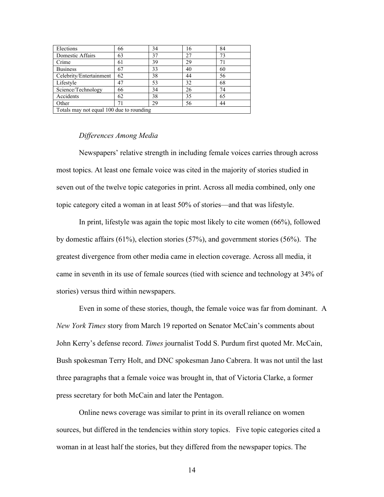| Elections                                | 66 | 34 | 16 | 84 |  |  |  |
|------------------------------------------|----|----|----|----|--|--|--|
| Domestic Affairs                         | 63 | 37 | 27 | 73 |  |  |  |
| Crime                                    | 61 | 39 | 29 | 71 |  |  |  |
| <b>Business</b>                          | 67 | 33 | 40 | 60 |  |  |  |
| Celebrity/Entertainment                  | 62 | 38 | 44 | 56 |  |  |  |
| Lifestyle                                | 47 | 53 | 32 | 68 |  |  |  |
| Science/Technology                       | 66 | 34 | 26 | 74 |  |  |  |
| Accidents                                | 62 | 38 | 35 | 65 |  |  |  |
| Other                                    |    | 29 | 56 | 44 |  |  |  |
| Totals may not equal 100 due to rounding |    |    |    |    |  |  |  |

### *Differences Among Media*

Newspapers' relative strength in including female voices carries through across most topics. At least one female voice was cited in the majority of stories studied in seven out of the twelve topic categories in print. Across all media combined, only one topic category cited a woman in at least 50% of stories—and that was lifestyle.

In print, lifestyle was again the topic most likely to cite women (66%), followed by domestic affairs (61%), election stories (57%), and government stories (56%). The greatest divergence from other media came in election coverage. Across all media, it came in seventh in its use of female sources (tied with science and technology at 34% of stories) versus third within newspapers.

Even in some of these stories, though, the female voice was far from dominant. A *New York Times* story from March 19 reported on Senator McCain's comments about John Kerry's defense record. *Times* journalist Todd S. Purdum first quoted Mr. McCain, Bush spokesman Terry Holt, and DNC spokesman Jano Cabrera. It was not until the last three paragraphs that a female voice was brought in, that of Victoria Clarke, a former press secretary for both McCain and later the Pentagon.

Online news coverage was similar to print in its overall reliance on women sources, but differed in the tendencies within story topics. Five topic categories cited a woman in at least half the stories, but they differed from the newspaper topics. The

14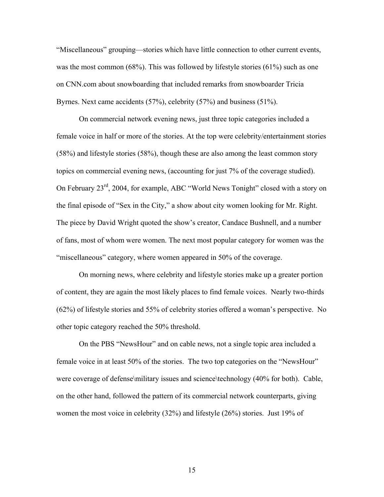"Miscellaneous" grouping—stories which have little connection to other current events, was the most common (68%). This was followed by lifestyle stories (61%) such as one on CNN.com about snowboarding that included remarks from snowboarder Tricia Byrnes. Next came accidents (57%), celebrity (57%) and business (51%).

On commercial network evening news, just three topic categories included a female voice in half or more of the stories. At the top were celebrity/entertainment stories (58%) and lifestyle stories (58%), though these are also among the least common story topics on commercial evening news, (accounting for just 7% of the coverage studied). On February 23rd, 2004, for example, ABC "World News Tonight" closed with a story on the final episode of "Sex in the City," a show about city women looking for Mr. Right. The piece by David Wright quoted the show's creator, Candace Bushnell, and a number of fans, most of whom were women. The next most popular category for women was the "miscellaneous" category, where women appeared in 50% of the coverage.

On morning news, where celebrity and lifestyle stories make up a greater portion of content, they are again the most likely places to find female voices. Nearly two-thirds (62%) of lifestyle stories and 55% of celebrity stories offered a woman's perspective. No other topic category reached the 50% threshold.

On the PBS "NewsHour" and on cable news, not a single topic area included a female voice in at least 50% of the stories. The two top categories on the "NewsHour" were coverage of defense\military issues and science\technology (40% for both). Cable, on the other hand, followed the pattern of its commercial network counterparts, giving women the most voice in celebrity (32%) and lifestyle (26%) stories. Just 19% of

15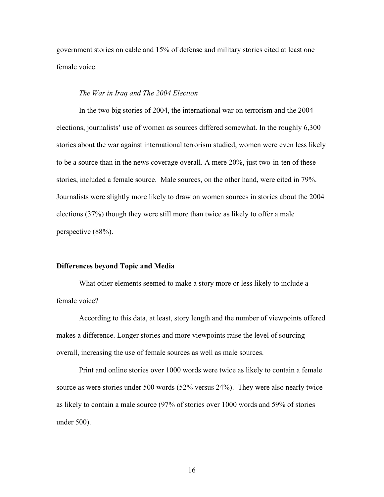government stories on cable and 15% of defense and military stories cited at least one female voice.

### *The War in Iraq and The 2004 Election*

 In the two big stories of 2004, the international war on terrorism and the 2004 elections, journalists' use of women as sources differed somewhat. In the roughly 6,300 stories about the war against international terrorism studied, women were even less likely to be a source than in the news coverage overall. A mere 20%, just two-in-ten of these stories, included a female source. Male sources, on the other hand, were cited in 79%. Journalists were slightly more likely to draw on women sources in stories about the 2004 elections (37%) though they were still more than twice as likely to offer a male perspective (88%).

### **Differences beyond Topic and Media**

 What other elements seemed to make a story more or less likely to include a female voice?

 According to this data, at least, story length and the number of viewpoints offered makes a difference. Longer stories and more viewpoints raise the level of sourcing overall, increasing the use of female sources as well as male sources.

Print and online stories over 1000 words were twice as likely to contain a female source as were stories under 500 words (52% versus 24%). They were also nearly twice as likely to contain a male source (97% of stories over 1000 words and 59% of stories under 500).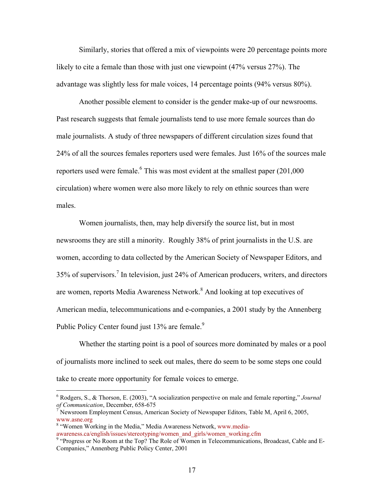Similarly, stories that offered a mix of viewpoints were 20 percentage points more likely to cite a female than those with just one viewpoint (47% versus 27%). The advantage was slightly less for male voices, 14 percentage points (94% versus 80%).

 Another possible element to consider is the gender make-up of our newsrooms. Past research suggests that female journalists tend to use more female sources than do male journalists. A study of three newspapers of different circulation sizes found that 24% of all the sources females reporters used were females. Just 16% of the sources male reporters used were female.  $6$  This was most evident at the smallest paper (201,000) circulation) where women were also more likely to rely on ethnic sources than were males.

Women journalists, then, may help diversify the source list, but in most newsrooms they are still a minority. Roughly 38% of print journalists in the U.S. are women, according to data collected by the American Society of Newspaper Editors, and 35% of supervisors.<sup>7</sup> In television, just 24% of American producers, writers, and directors are women, reports Media Awareness Network. $<sup>8</sup>$  And looking at top executives of</sup> American media, telecommunications and e-companies, a 2001 study by the Annenberg Public Policy Center found just 13% are female.<sup>9</sup>

 Whether the starting point is a pool of sources more dominated by males or a pool of journalists more inclined to seek out males, there do seem to be some steps one could take to create more opportunity for female voices to emerge.

 $\overline{a}$ 

<sup>6</sup> Rodgers, S., & Thorson, E. (2003), "A socialization perspective on male and female reporting," *Journal*  of Communication, December, 658-675

Newsroom Employment Census, American Society of Newspaper Editors, Table M, April 6, 2005, www.asne.org 8

<sup>&</sup>lt;sup>8</sup> "Women Working in the Media," Media Awareness Network, www.mediaawareness.ca/english/issues/stereotyping/women\_and\_girls/women\_working.cfm 9

<sup>&</sup>lt;sup>9</sup> "Progress or No Room at the Top? The Role of Women in Telecommunications, Broadcast, Cable and E-Companies," Annenberg Public Policy Center, 2001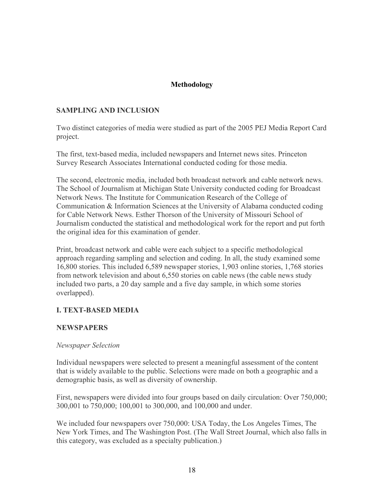# **Methodology**

## **SAMPLING AND INCLUSION**

Two distinct categories of media were studied as part of the 2005 PEJ Media Report Card project.

The first, text-based media, included newspapers and Internet news sites. Princeton Survey Research Associates International conducted coding for those media.

The second, electronic media, included both broadcast network and cable network news. The School of Journalism at Michigan State University conducted coding for Broadcast Network News. The Institute for Communication Research of the College of Communication & Information Sciences at the University of Alabama conducted coding for Cable Network News. Esther Thorson of the University of Missouri School of Journalism conducted the statistical and methodological work for the report and put forth the original idea for this examination of gender.

Print, broadcast network and cable were each subject to a specific methodological approach regarding sampling and selection and coding. In all, the study examined some 16,800 stories. This included 6,589 newspaper stories, 1,903 online stories, 1,768 stories from network television and about 6,550 stories on cable news (the cable news study included two parts, a 20 day sample and a five day sample, in which some stories overlapped).

## **I. TEXT-BASED MEDIA**

## **NEWSPAPERS**

## *Newspaper Selection*

Individual newspapers were selected to present a meaningful assessment of the content that is widely available to the public. Selections were made on both a geographic and a demographic basis, as well as diversity of ownership.

First, newspapers were divided into four groups based on daily circulation: Over 750,000; 300,001 to 750,000; 100,001 to 300,000, and 100,000 and under.

We included four newspapers over 750,000: USA Today, the Los Angeles Times, The New York Times, and The Washington Post. (The Wall Street Journal, which also falls in this category, was excluded as a specialty publication.)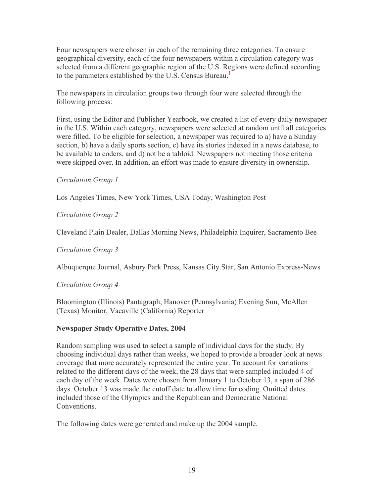Four newspapers were chosen in each of the remaining three categories. To ensure geographical diversity, each of the four newspapers within a circulation category was selected from a different geographic region of the U.S. Regions were defined according to the parameters established by the U.S. Census Bureau.<sup>1</sup>

The newspapers in circulation groups two through four were selected through the following process:

First, using the Editor and Publisher Yearbook, we created a list of every daily newspaper in the U.S. Within each category, newspapers were selected at random until all categories were filled. To be eligible for selection, a newspaper was required to a) have a Sunday section, b) have a daily sports section, c) have its stories indexed in a news database, to be available to coders, and d) not be a tabloid. Newspapers not meeting those criteria were skipped over. In addition, an effort was made to ensure diversity in ownership.

## *Circulation Group 1*

Los Angeles Times, New York Times, USA Today, Washington Post

# *Circulation Group 2*

Cleveland Plain Dealer, Dallas Morning News, Philadelphia Inquirer, Sacramento Bee

## *Circulation Group 3*

Albuquerque Journal, Asbury Park Press, Kansas City Star, San Antonio Express-News

## *Circulation Group 4*

Bloomington (Illinois) Pantagraph, Hanover (Pennsylvania) Evening Sun, McAllen (Texas) Monitor, Vacaville (California) Reporter

## **Newspaper Study Operative Dates, 2004**

Random sampling was used to select a sample of individual days for the study. By choosing individual days rather than weeks, we hoped to provide a broader look at news coverage that more accurately represented the entire year. To account for variations related to the different days of the week, the 28 days that were sampled included 4 of each day of the week. Dates were chosen from January 1 to October 13, a span of 286 days. October 13 was made the cutoff date to allow time for coding. Omitted dates included those of the Olympics and the Republican and Democratic National **Conventions** 

The following dates were generated and make up the 2004 sample.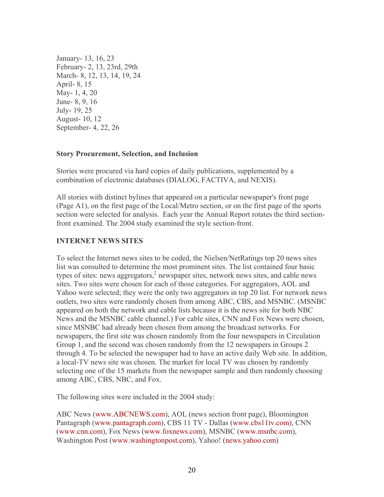January- 13, 16, 23 February- 2, 13, 23rd, 29th March- 8, 12, 13, 14, 19, 24 April- 8, 15 May- 1, 4, 20 June- 8, 9, 16 July- 19, 25 August- 10, 12 September- 4, 22, 26

### **Story Procurement, Selection, and Inclusion**

Stories were procured via hard copies of daily publications, supplemented by a combination of electronic databases (DIALOG, FACTIVA, and NEXIS).

All stories with distinct bylines that appeared on a particular newspaper's front page (Page A1), on the first page of the Local/Metro section, or on the first page of the sports section were selected for analysis. Each year the Annual Report rotates the third sectionfront examined. The 2004 study examined the style section-front.

## **INTERNET NEWS SITES**

To select the Internet news sites to be coded, the Nielsen/NetRatings top 20 news sites list was consulted to determine the most prominent sites. The list contained four basic types of sites: news aggregators, $<sup>2</sup>$  newspaper sites, network news sites, and cable news</sup> sites. Two sites were chosen for each of those categories. For aggregators, AOL and Yahoo were selected; they were the only two aggregators in top 20 list. For network news outlets, two sites were randomly chosen from among ABC, CBS, and MSNBC. (MSNBC appeared on both the network and cable lists because it is the news site for both NBC News and the MSNBC cable channel.) For cable sites, CNN and Fox News were chosen, since MSNBC had already been chosen from among the broadcast networks. For newspapers, the first site was chosen randomly from the four newspapers in Circulation Group 1, and the second was chosen randomly from the 12 newspapers in Groups 2 through 4. To be selected the newspaper had to have an active daily Web site. In addition, a local-TV news site was chosen. The market for local TV was chosen by randomly selecting one of the 15 markets from the newspaper sample and then randomly choosing among ABC, CBS, NBC, and Fox.

The following sites were included in the 2004 study:

ABC News (www.ABCNEWS.com), AOL (news section front page), Bloomington Pantagraph (www.pantagraph.com), CBS 11 TV - Dallas (www.cbs11tv.com), CNN (www.cnn.com), Fox News (www.foxnews.com), MSNBC (www.msnbc.com), Washington Post (www.washingtonpost.com), Yahoo! (news.yahoo.com)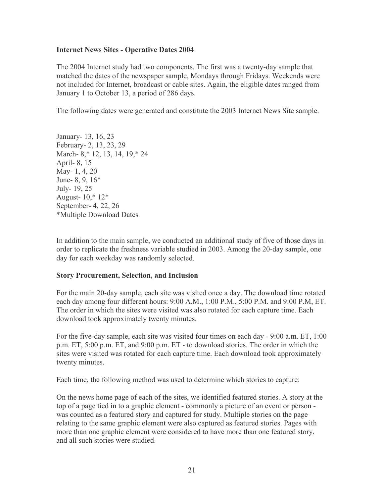## **Internet News Sites - Operative Dates 2004**

The 2004 Internet study had two components. The first was a twenty-day sample that matched the dates of the newspaper sample, Mondays through Fridays. Weekends were not included for Internet, broadcast or cable sites. Again, the eligible dates ranged from January 1 to October 13, a period of 286 days.

The following dates were generated and constitute the 2003 Internet News Site sample.

January- 13, 16, 23 February- 2, 13, 23, 29 March- 8,\* 12, 13, 14, 19,\* 24 April- 8, 15 May- 1, 4, 20 June- 8, 9, 16\* July- 19, 25 August- 10,\* 12\* September- 4, 22, 26 \*Multiple Download Dates

In addition to the main sample, we conducted an additional study of five of those days in order to replicate the freshness variable studied in 2003. Among the 20-day sample, one day for each weekday was randomly selected.

## **Story Procurement, Selection, and Inclusion**

For the main 20-day sample, each site was visited once a day. The download time rotated each day among four different hours: 9:00 A.M., 1:00 P.M., 5:00 P.M. and 9:00 P.M, ET. The order in which the sites were visited was also rotated for each capture time. Each download took approximately twenty minutes.

For the five-day sample, each site was visited four times on each day - 9:00 a.m. ET, 1:00 p.m. ET, 5:00 p.m. ET, and 9:00 p.m. ET - to download stories. The order in which the sites were visited was rotated for each capture time. Each download took approximately twenty minutes.

Each time, the following method was used to determine which stories to capture:

On the news home page of each of the sites, we identified featured stories. A story at the top of a page tied in to a graphic element - commonly a picture of an event or person was counted as a featured story and captured for study. Multiple stories on the page relating to the same graphic element were also captured as featured stories. Pages with more than one graphic element were considered to have more than one featured story, and all such stories were studied.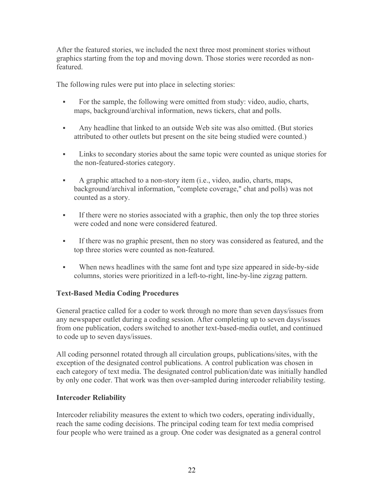After the featured stories, we included the next three most prominent stories without graphics starting from the top and moving down. Those stories were recorded as nonfeatured.

The following rules were put into place in selecting stories:

- For the sample, the following were omitted from study: video, audio, charts, maps, background/archival information, news tickers, chat and polls.
- Any headline that linked to an outside Web site was also omitted. (But stories attributed to other outlets but present on the site being studied were counted.)
- Links to secondary stories about the same topic were counted as unique stories for the non-featured-stories category.
- A graphic attached to a non-story item (i.e., video, audio, charts, maps, background/archival information, "complete coverage," chat and polls) was not counted as a story.
- If there were no stories associated with a graphic, then only the top three stories were coded and none were considered featured.
- If there was no graphic present, then no story was considered as featured, and the top three stories were counted as non-featured.
- When news headlines with the same font and type size appeared in side-by-side columns, stories were prioritized in a left-to-right, line-by-line zigzag pattern.

# **Text-Based Media Coding Procedures**

General practice called for a coder to work through no more than seven days/issues from any newspaper outlet during a coding session. After completing up to seven days/issues from one publication, coders switched to another text-based-media outlet, and continued to code up to seven days/issues.

All coding personnel rotated through all circulation groups, publications/sites, with the exception of the designated control publications. A control publication was chosen in each category of text media. The designated control publication/date was initially handled by only one coder. That work was then over-sampled during intercoder reliability testing.

# **Intercoder Reliability**

Intercoder reliability measures the extent to which two coders, operating individually, reach the same coding decisions. The principal coding team for text media comprised four people who were trained as a group. One coder was designated as a general control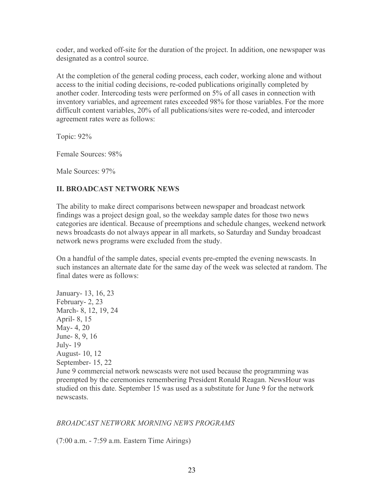coder, and worked off-site for the duration of the project. In addition, one newspaper was designated as a control source.

At the completion of the general coding process, each coder, working alone and without access to the initial coding decisions, re-coded publications originally completed by another coder. Intercoding tests were performed on 5% of all cases in connection with inventory variables, and agreement rates exceeded 98% for those variables. For the more difficult content variables, 20% of all publications/sites were re-coded, and intercoder agreement rates were as follows:

Topic: 92%

Female Sources: 98%

Male Sources: 97%

# **II. BROADCAST NETWORK NEWS**

The ability to make direct comparisons between newspaper and broadcast network findings was a project design goal, so the weekday sample dates for those two news categories are identical. Because of preemptions and schedule changes, weekend network news broadcasts do not always appear in all markets, so Saturday and Sunday broadcast network news programs were excluded from the study.

On a handful of the sample dates, special events pre-empted the evening newscasts. In such instances an alternate date for the same day of the week was selected at random. The final dates were as follows:

January- 13, 16, 23 February- 2, 23 March- 8, 12, 19, 24 April- 8, 15 May- 4, 20 June- 8, 9, 16 July- 19 August- 10, 12 September- 15, 22 June 9 commercial network newscasts were not used because the programming was preempted by the ceremonies remembering President Ronald Reagan. NewsHour was studied on this date. September 15 was used as a substitute for June 9 for the network newscasts.

## *BROADCAST NETWORK MORNING NEWS PROGRAMS*

(7:00 a.m. - 7:59 a.m. Eastern Time Airings)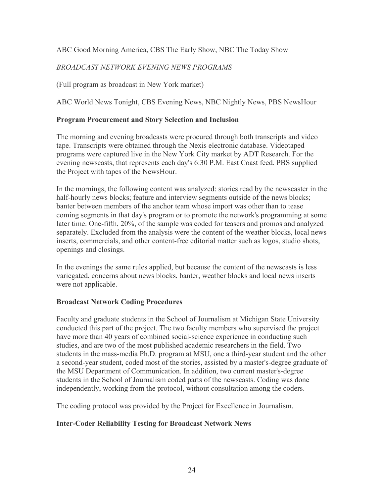# ABC Good Morning America, CBS The Early Show, NBC The Today Show

# *BROADCAST NETWORK EVENING NEWS PROGRAMS*

(Full program as broadcast in New York market)

ABC World News Tonight, CBS Evening News, NBC Nightly News, PBS NewsHour

## **Program Procurement and Story Selection and Inclusion**

The morning and evening broadcasts were procured through both transcripts and video tape. Transcripts were obtained through the Nexis electronic database. Videotaped programs were captured live in the New York City market by ADT Research. For the evening newscasts, that represents each day's 6:30 P.M. East Coast feed. PBS supplied the Project with tapes of the NewsHour.

In the mornings, the following content was analyzed: stories read by the newscaster in the half-hourly news blocks; feature and interview segments outside of the news blocks; banter between members of the anchor team whose import was other than to tease coming segments in that day's program or to promote the network's programming at some later time. One-fifth, 20%, of the sample was coded for teasers and promos and analyzed separately. Excluded from the analysis were the content of the weather blocks, local news inserts, commercials, and other content-free editorial matter such as logos, studio shots, openings and closings.

In the evenings the same rules applied, but because the content of the newscasts is less variegated, concerns about news blocks, banter, weather blocks and local news inserts were not applicable.

## **Broadcast Network Coding Procedures**

Faculty and graduate students in the School of Journalism at Michigan State University conducted this part of the project. The two faculty members who supervised the project have more than 40 years of combined social-science experience in conducting such studies, and are two of the most published academic researchers in the field. Two students in the mass-media Ph.D. program at MSU, one a third-year student and the other a second-year student, coded most of the stories, assisted by a master's-degree graduate of the MSU Department of Communication. In addition, two current master's-degree students in the School of Journalism coded parts of the newscasts. Coding was done independently, working from the protocol, without consultation among the coders.

The coding protocol was provided by the Project for Excellence in Journalism.

## **Inter-Coder Reliability Testing for Broadcast Network News**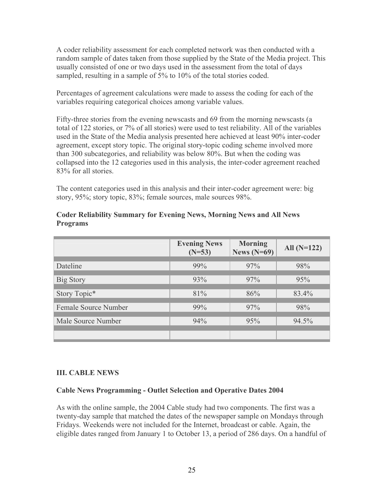A coder reliability assessment for each completed network was then conducted with a random sample of dates taken from those supplied by the State of the Media project. This usually consisted of one or two days used in the assessment from the total of days sampled, resulting in a sample of 5% to 10% of the total stories coded.

Percentages of agreement calculations were made to assess the coding for each of the variables requiring categorical choices among variable values.

Fifty-three stories from the evening newscasts and 69 from the morning newscasts (a total of 122 stories, or 7% of all stories) were used to test reliability. All of the variables used in the State of the Media analysis presented here achieved at least 90% inter-coder agreement, except story topic. The original story-topic coding scheme involved more than 300 subcategories, and reliability was below 80%. But when the coding was collapsed into the 12 categories used in this analysis, the inter-coder agreement reached 83% for all stories.

The content categories used in this analysis and their inter-coder agreement were: big story, 95%; story topic, 83%; female sources, male sources 98%.

|                      | <b>Evening News</b><br>$(N=53)$ | <b>Morning</b><br>News $(N=69)$ | All $(N=122)$ |
|----------------------|---------------------------------|---------------------------------|---------------|
| Dateline             | 99%                             | 97%                             | 98%           |
| Big Story            | 93%                             | 97%                             | 95%           |
| Story Topic*         | 81%                             | 86%                             | 83.4%         |
| Female Source Number | 99%                             | 97%                             | 98%           |
| Male Source Number   | 94%                             | 95%                             | 94.5%         |
|                      |                                 |                                 |               |

## **Coder Reliability Summary for Evening News, Morning News and All News Programs**

## **III. CABLE NEWS**

## **Cable News Programming - Outlet Selection and Operative Dates 2004**

As with the online sample, the 2004 Cable study had two components. The first was a twenty-day sample that matched the dates of the newspaper sample on Mondays through Fridays. Weekends were not included for the Internet, broadcast or cable. Again, the eligible dates ranged from January 1 to October 13, a period of 286 days. On a handful of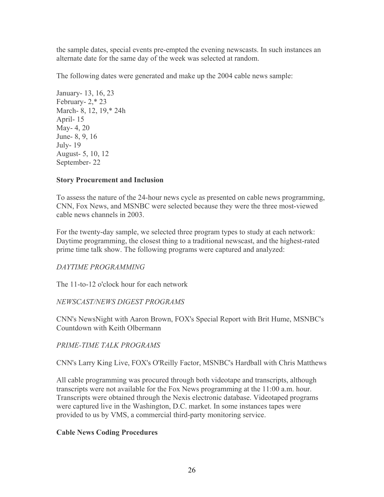the sample dates, special events pre-empted the evening newscasts. In such instances an alternate date for the same day of the week was selected at random.

The following dates were generated and make up the 2004 cable news sample:

January- 13, 16, 23 February- 2,\* 23 March- 8, 12, 19,\* 24h April- 15 May- 4, 20 June- 8, 9, 16 July- 19 August- 5, 10, 12 September- 22

## **Story Procurement and Inclusion**

To assess the nature of the 24-hour news cycle as presented on cable news programming, CNN, Fox News, and MSNBC were selected because they were the three most-viewed cable news channels in 2003.

For the twenty-day sample, we selected three program types to study at each network: Daytime programming, the closest thing to a traditional newscast, and the highest-rated prime time talk show. The following programs were captured and analyzed:

## *DAYTIME PROGRAMMING*

The 11-to-12 o'clock hour for each network

## *NEWSCAST/NEWS DIGEST PROGRAMS*

CNN's NewsNight with Aaron Brown, FOX's Special Report with Brit Hume, MSNBC's Countdown with Keith Olbermann

## *PRIME-TIME TALK PROGRAMS*

CNN's Larry King Live, FOX's O'Reilly Factor, MSNBC's Hardball with Chris Matthews

All cable programming was procured through both videotape and transcripts, although transcripts were not available for the Fox News programming at the 11:00 a.m. hour. Transcripts were obtained through the Nexis electronic database. Videotaped programs were captured live in the Washington, D.C. market. In some instances tapes were provided to us by VMS, a commercial third-party monitoring service.

## **Cable News Coding Procedures**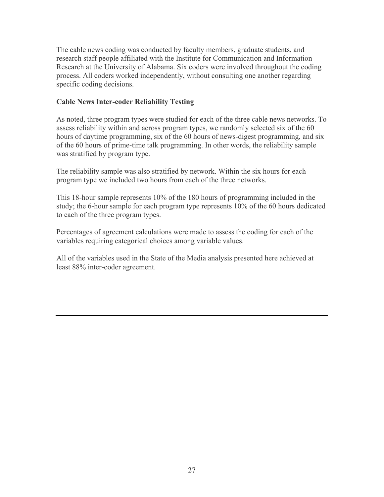The cable news coding was conducted by faculty members, graduate students, and research staff people affiliated with the Institute for Communication and Information Research at the University of Alabama. Six coders were involved throughout the coding process. All coders worked independently, without consulting one another regarding specific coding decisions.

# **Cable News Inter-coder Reliability Testing**

As noted, three program types were studied for each of the three cable news networks. To assess reliability within and across program types, we randomly selected six of the 60 hours of daytime programming, six of the 60 hours of news-digest programming, and six of the 60 hours of prime-time talk programming. In other words, the reliability sample was stratified by program type.

The reliability sample was also stratified by network. Within the six hours for each program type we included two hours from each of the three networks.

This 18-hour sample represents 10% of the 180 hours of programming included in the study; the 6-hour sample for each program type represents 10% of the 60 hours dedicated to each of the three program types.

Percentages of agreement calculations were made to assess the coding for each of the variables requiring categorical choices among variable values.

All of the variables used in the State of the Media analysis presented here achieved at least 88% inter-coder agreement.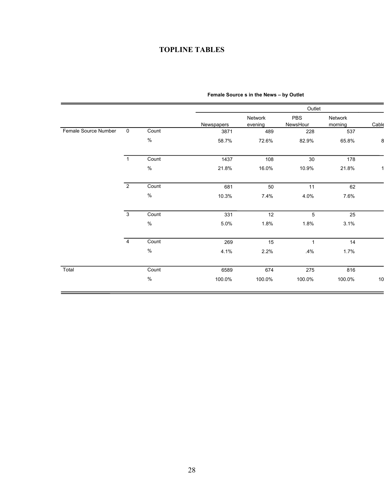# **TOPLINE TABLES**

| $\mathbf 0$    |       |                                                                                   | Network | PBS          |                    |       |
|----------------|-------|-----------------------------------------------------------------------------------|---------|--------------|--------------------|-------|
|                |       | Newspapers                                                                        | evening | NewsHour     | Network<br>morning | Cable |
|                | Count | 3871                                                                              | 489     | 228          | 537                |       |
| $\%$           |       | 58.7%                                                                             | 72.6%   | 82.9%        | 65.8%              |       |
| $\overline{1}$ |       | 1437                                                                              | 108     | 30           | 178                |       |
|                |       | 21.8%                                                                             | 16.0%   | 10.9%        | 21.8%              |       |
| $\overline{2}$ |       | 681                                                                               | 50      | 11           | 62                 |       |
|                |       | 10.3%                                                                             | 7.4%    | 4.0%         | 7.6%               |       |
| $\overline{3}$ |       | 331                                                                               | 12      | 5            | 25                 |       |
|                |       | 5.0%                                                                              | 1.8%    | 1.8%         | 3.1%               |       |
| $\overline{4}$ |       | 269                                                                               | 15      | $\mathbf{1}$ | 14                 |       |
|                |       | 4.1%                                                                              | 2.2%    | .4%          | 1.7%               |       |
|                |       | 6589                                                                              | 674     | 275          | 816                |       |
|                |       | 100.0%                                                                            | 100.0%  | 100.0%       | 100.0%             | 10    |
|                |       | Count<br>$\%$<br>Count<br>$\%$<br>Count<br>$\%$<br>Count<br>$\%$<br>Count<br>$\%$ |         |              |                    |       |

### **Female Source s in the News – by Outlet**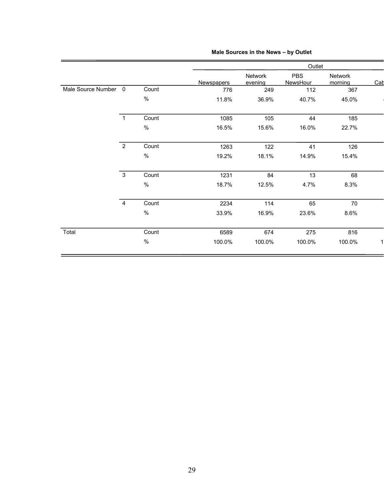|                      |                |       |                   |                    | Outlet                        |                    |     |
|----------------------|----------------|-------|-------------------|--------------------|-------------------------------|--------------------|-----|
|                      |                |       | <b>Newspapers</b> | Network<br>evening | <b>PBS</b><br><b>NewsHour</b> | Network<br>morning | Cat |
| Male Source Number 0 |                | Count | 776               | 249                | 112                           | 367                |     |
|                      |                | $\%$  | 11.8%             | 36.9%              | 40.7%                         | 45.0%              |     |
|                      | $\overline{1}$ | Count | 1085              | 105                | 44                            | 185                |     |
|                      |                | $\%$  | 16.5%             | 15.6%              | 16.0%                         | 22.7%              |     |
|                      | $\overline{2}$ | Count | 1263              | 122                | 41                            | 126                |     |
|                      |                | $\%$  | 19.2%             | 18.1%              | 14.9%                         | 15.4%              |     |
|                      | $\overline{3}$ | Count | 1231              | 84                 | 13                            | 68                 |     |
|                      |                | $\%$  | 18.7%             | 12.5%              | 4.7%                          | 8.3%               |     |
|                      | $\overline{4}$ | Count | 2234              | 114                | 65                            | 70                 |     |
|                      |                | $\%$  | 33.9%             | 16.9%              | 23.6%                         | 8.6%               |     |
| Total                |                | Count | 6589              | 674                | 275                           | 816                |     |
|                      |                | $\%$  | 100.0%            | 100.0%             | 100.0%                        | 100.0%             |     |

### **Male Sources in the News – by Outlet**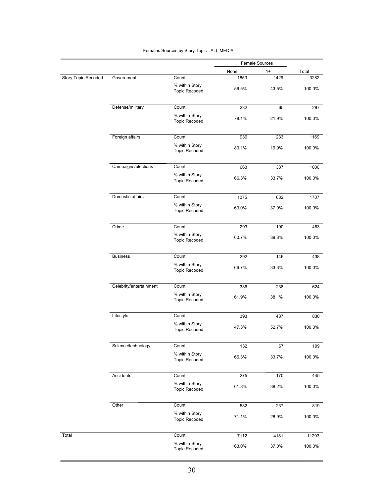|                     |                         |                                        | <b>Female Sources</b> |       |        |
|---------------------|-------------------------|----------------------------------------|-----------------------|-------|--------|
|                     |                         |                                        | None                  | $1+$  | Total  |
| Story Topic Recoded | Government              | Count                                  | 1853                  | 1429  | 3282   |
|                     |                         | % within Story<br><b>Topic Recoded</b> | 56.5%                 | 43.5% | 100.0% |
|                     | Defense/military        | Count                                  | 232                   | 65    | 297    |
|                     |                         | % within Story<br><b>Topic Recoded</b> | 78.1%                 | 21.9% | 100.0% |
|                     | Foreign affairs         | Count                                  | 936                   | 233   | 1169   |
|                     |                         | % within Story<br><b>Topic Recoded</b> | 80.1%                 | 19.9% | 100.0% |
|                     | Campaigns/elections     | Count                                  | 663                   | 337   | 1000   |
|                     |                         | % within Story<br><b>Topic Recoded</b> | 66.3%                 | 33.7% | 100.0% |
|                     | Domestic affairs        | Count                                  | 1075                  | 632   | 1707   |
|                     |                         | % within Story<br><b>Topic Recoded</b> | 63.0%                 | 37.0% | 100.0% |
|                     | Crime                   | Count                                  | 293                   | 190   | 483    |
|                     |                         | % within Story<br><b>Topic Recoded</b> | 60.7%                 | 39.3% | 100.0% |
|                     | <b>Business</b>         | Count                                  | 292                   | 146   | 438    |
|                     |                         | % within Story<br><b>Topic Recoded</b> | 66.7%                 | 33.3% | 100.0% |
|                     | Celebrity/entertainment | Count                                  | 386                   | 238   | 624    |
|                     |                         | % within Story<br><b>Topic Recoded</b> | 61.9%                 | 38.1% | 100.0% |
|                     | Lifestyle               | Count                                  | 393                   | 437   | 830    |
|                     |                         | % within Story<br><b>Topic Recoded</b> | 47.3%                 | 52.7% | 100.0% |
|                     | Science/technology      | Count                                  | 132                   | 67    | 199    |
|                     |                         | % within Story<br><b>Topic Recoded</b> | 66.3%                 | 33.7% | 100.0% |
|                     | Accidents               | Count                                  | 275                   | 170   | 445    |
|                     |                         | % within Story<br><b>Topic Recoded</b> | 61.8%                 | 38.2% | 100.0% |
|                     | Other                   | Count                                  | 582                   | 237   | 819    |
|                     |                         | % within Story<br><b>Topic Recoded</b> | 71.1%                 | 28.9% | 100.0% |
| Total               |                         | Count                                  | 7112                  | 4181  | 11293  |
|                     |                         | % within Story<br><b>Topic Recoded</b> | 63.0%                 | 37.0% | 100.0% |

#### Females Sources by Story Topic - ALL MEDIA

<u> Tanzania (h. 1888).</u>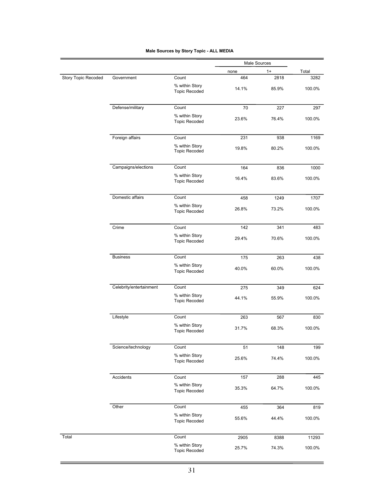|                     |                         |                                        | Male Sources |       |        |
|---------------------|-------------------------|----------------------------------------|--------------|-------|--------|
|                     |                         |                                        | none         | $1+$  | Total  |
| Story Topic Recoded | Government              | Count                                  | 464          | 2818  | 3282   |
|                     |                         | % within Story<br><b>Topic Recoded</b> | 14.1%        | 85.9% | 100.0% |
|                     | Defense/military        | Count                                  | 70           | 227   | 297    |
|                     |                         | % within Story                         |              |       |        |
|                     |                         | <b>Topic Recoded</b>                   | 23.6%        | 76.4% | 100.0% |
|                     | Foreign affairs         | Count                                  | 231          | 938   | 1169   |
|                     |                         | % within Story<br><b>Topic Recoded</b> | 19.8%        | 80.2% | 100.0% |
|                     | Campaigns/elections     | Count                                  | 164          | 836   | 1000   |
|                     |                         | % within Story<br><b>Topic Recoded</b> | 16.4%        | 83.6% | 100.0% |
|                     | Domestic affairs        | Count                                  | 458          | 1249  | 1707   |
|                     |                         | % within Story<br><b>Topic Recoded</b> | 26.8%        | 73.2% | 100.0% |
|                     | Crime                   | Count                                  | 142          | 341   | 483    |
|                     |                         | % within Story<br><b>Topic Recoded</b> | 29.4%        | 70.6% | 100.0% |
|                     | <b>Business</b>         | Count                                  | 175          | 263   | 438    |
|                     |                         | % within Story<br><b>Topic Recoded</b> | 40.0%        | 60.0% | 100.0% |
|                     | Celebrity/entertainment | Count                                  | 275          | 349   | 624    |
|                     |                         | % within Story<br><b>Topic Recoded</b> | 44.1%        | 55.9% | 100.0% |
|                     | Lifestyle               | Count                                  | 263          | 567   | 830    |
|                     |                         | % within Story<br><b>Topic Recoded</b> | 31.7%        | 68.3% | 100.0% |
|                     | Science/technology      | Count                                  | 51           | 148   | 199    |
|                     |                         | % within Story<br><b>Topic Recoded</b> | 25.6%        | 74.4% | 100.0% |
|                     | Accidents               | Count                                  | 157          | 288   | 445    |
|                     |                         | % within Story<br><b>Topic Recoded</b> | 35.3%        | 64.7% | 100.0% |
|                     | Other                   | Count                                  | 455          | 364   | 819    |
|                     |                         | % within Story<br><b>Topic Recoded</b> | 55.6%        | 44.4% | 100.0% |
| Total               |                         | Count                                  | 2905         | 8388  | 11293  |
|                     |                         | % within Story<br><b>Topic Recoded</b> | 25.7%        | 74.3% | 100.0% |

#### **Male Sources by Story Topic - ALL MEDIA**

 $\equiv$ 

-